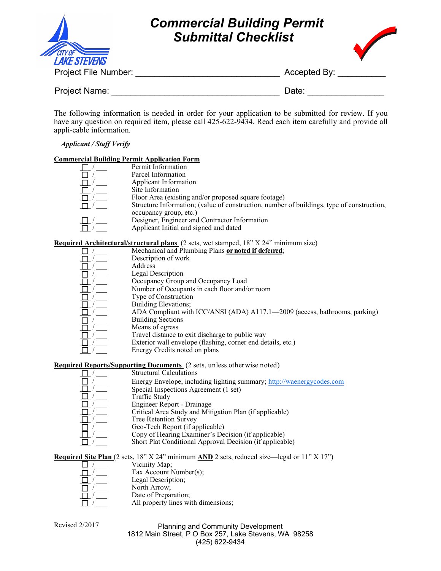

# *Commercial Building Permit Submittal Checklist*



Project File Number: \_\_\_\_\_\_\_\_\_\_\_\_\_\_\_\_\_\_\_\_\_\_\_\_\_\_\_\_\_\_ Accepted By: \_\_\_\_\_\_\_\_\_\_

Project Name: **Example 20** and the contract of the Date:

The following information is needed in order for your application to be submitted for review. If you have any question on required item, please call 425-622-9434. Read each item carefully and provide all appli-cable information.

## *Applicant / Staff Verify*

#### **Commercial Building Permit Application Form**

| Permit Information                                                                        |
|-------------------------------------------------------------------------------------------|
| Parcel Information                                                                        |
| Applicant Information                                                                     |
| Site Information                                                                          |
| Floor Area (existing and/or proposed square footage)                                      |
| Structure Information; (value of construction, number of buildings, type of construction, |
| occupancy group, etc.)                                                                    |
| Designer, Engineer and Contractor Information                                             |
| Applicant Initial and signed and dated                                                    |
|                                                                                           |

## **Required Architectural/structural plans** (2 sets, wet stamped, 18" X 24" minimum size)

| Mechanical and Plumbing Plans or noted if deferred; |
|-----------------------------------------------------|
| Description of work                                 |
| Address                                             |
| Legal Description                                   |
| Occupancy Group and Occupancy Load                  |
| Number of Occupants in each floor and/or room       |
| Type of Construction                                |

- Building Elevations;
	- ADA Compliant with ICC/ANSI (ADA) A117.1—2009 (access, bathrooms, parking)
- Building Sections
	- Means of egress
		- Travel distance to exit discharge to public way
		- Exterior wall envelope (flashing, corner end details, etc.)
			- Energy Credits noted on plans

## **Required Reports/Supporting Documents** (2 sets, unless otherwise noted)

| <b>Structural Calculations</b>                                        |
|-----------------------------------------------------------------------|
| Energy Envelope, including lighting summary; http://waenergycodes.com |
| Special Inspections Agreement (1 set)                                 |
| Traffic Study                                                         |
| Engineer Report - Drainage                                            |
| Critical Area Study and Mitigation Plan (if applicable)               |
| <b>Tree Retention Survey</b>                                          |
| Geo-Tech Report (if applicable)                                       |
| Copy of Hearing Examiner's Decision (if applicable)                   |
| Short Plat Conditional Approval Decision (if applicable)              |

**Required Site Plan** (2 sets, 18" X 24" minimum **AND** 2 sets, reduced size—legal or 11" X 17")

- $\Box$  /  $\Box$  Vicinity Map;
- $\overline{\Box}$  /  $\overline{\Box}$  Tax Account Number(s);
- Legal Description; North Arrow; Date of Preparation; All property lines with dimensions;

#### Planning and Community Development 1812 Main Street, P O Box 257, Lake Stevens, WA 98258 (425) 622-9434